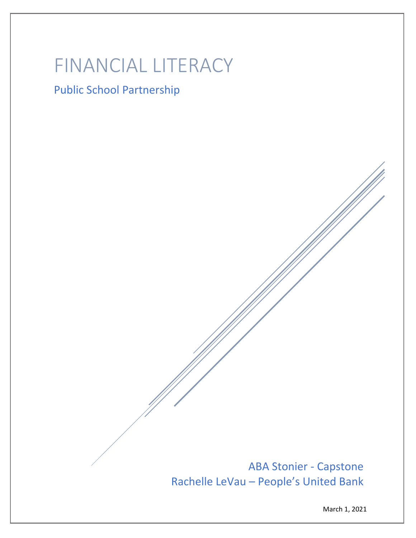# FINANCIAL LITERACY

## Public School Partnership

ABA Stonier - Capstone Rachelle LeVau – People's United Bank

March 1, 2021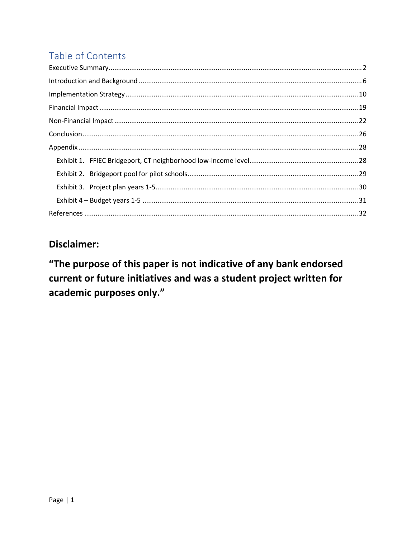## Table of Contents

### **Disclaimer:**

"The purpose of this paper is not indicative of any bank endorsed current or future initiatives and was a student project written for academic purposes only."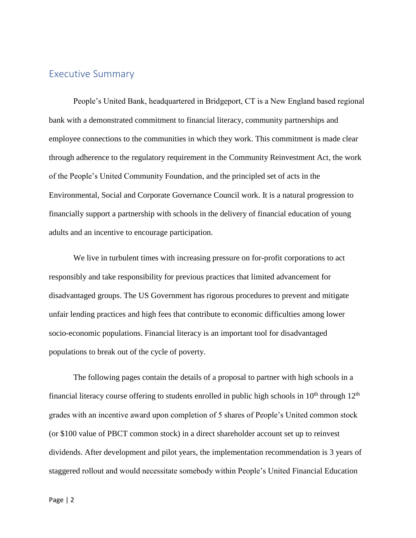#### <span id="page-2-0"></span>Executive Summary

People's United Bank, headquartered in Bridgeport, CT is a New England based regional bank with a demonstrated commitment to financial literacy, community partnerships and employee connections to the communities in which they work. This commitment is made clear through adherence to the regulatory requirement in the Community Reinvestment Act, the work of the People's United Community Foundation, and the principled set of acts in the Environmental, Social and Corporate Governance Council work. It is a natural progression to financially support a partnership with schools in the delivery of financial education of young adults and an incentive to encourage participation.

We live in turbulent times with increasing pressure on for-profit corporations to act responsibly and take responsibility for previous practices that limited advancement for disadvantaged groups. The US Government has rigorous procedures to prevent and mitigate unfair lending practices and high fees that contribute to economic difficulties among lower socio-economic populations. Financial literacy is an important tool for disadvantaged populations to break out of the cycle of poverty.

The following pages contain the details of a proposal to partner with high schools in a financial literacy course offering to students enrolled in public high schools in  $10<sup>th</sup>$  through  $12<sup>th</sup>$ grades with an incentive award upon completion of 5 shares of People's United common stock (or \$100 value of PBCT common stock) in a direct shareholder account set up to reinvest dividends. After development and pilot years, the implementation recommendation is 3 years of staggered rollout and would necessitate somebody within People's United Financial Education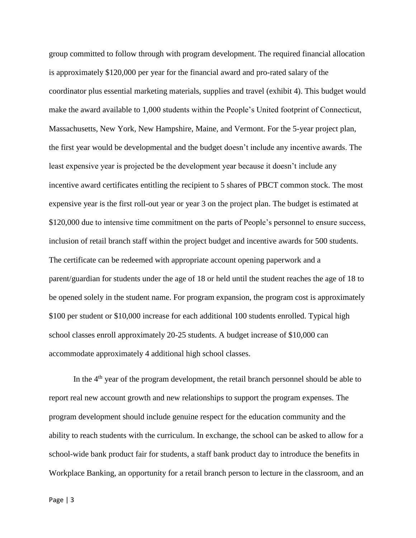group committed to follow through with program development. The required financial allocation is approximately \$120,000 per year for the financial award and pro-rated salary of the coordinator plus essential marketing materials, supplies and travel (exhibit 4). This budget would make the award available to 1,000 students within the People's United footprint of Connecticut, Massachusetts, New York, New Hampshire, Maine, and Vermont. For the 5-year project plan, the first year would be developmental and the budget doesn't include any incentive awards. The least expensive year is projected be the development year because it doesn't include any incentive award certificates entitling the recipient to 5 shares of PBCT common stock. The most expensive year is the first roll-out year or year 3 on the project plan. The budget is estimated at \$120,000 due to intensive time commitment on the parts of People's personnel to ensure success, inclusion of retail branch staff within the project budget and incentive awards for 500 students. The certificate can be redeemed with appropriate account opening paperwork and a parent/guardian for students under the age of 18 or held until the student reaches the age of 18 to be opened solely in the student name. For program expansion, the program cost is approximately \$100 per student or \$10,000 increase for each additional 100 students enrolled. Typical high school classes enroll approximately 20-25 students. A budget increase of \$10,000 can accommodate approximately 4 additional high school classes.

In the  $4<sup>th</sup>$  year of the program development, the retail branch personnel should be able to report real new account growth and new relationships to support the program expenses. The program development should include genuine respect for the education community and the ability to reach students with the curriculum. In exchange, the school can be asked to allow for a school-wide bank product fair for students, a staff bank product day to introduce the benefits in Workplace Banking, an opportunity for a retail branch person to lecture in the classroom, and an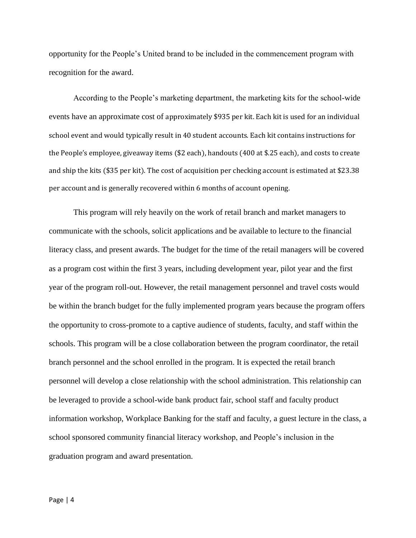opportunity for the People's United brand to be included in the commencement program with recognition for the award.

According to the People's marketing department, the marketing kits for the school-wide events have an approximate cost of approximately \$935 per kit. Each kit is used for an individual school event and would typically result in 40 student accounts. Each kit contains instructions for the People's employee, giveaway items (\$2 each), handouts (400 at \$.25 each), and costs to create and ship the kits (\$35 per kit). The cost of acquisition per checking account is estimated at \$23.38 per account and is generally recovered within 6 months of account opening.

This program will rely heavily on the work of retail branch and market managers to communicate with the schools, solicit applications and be available to lecture to the financial literacy class, and present awards. The budget for the time of the retail managers will be covered as a program cost within the first 3 years, including development year, pilot year and the first year of the program roll-out. However, the retail management personnel and travel costs would be within the branch budget for the fully implemented program years because the program offers the opportunity to cross-promote to a captive audience of students, faculty, and staff within the schools. This program will be a close collaboration between the program coordinator, the retail branch personnel and the school enrolled in the program. It is expected the retail branch personnel will develop a close relationship with the school administration. This relationship can be leveraged to provide a school-wide bank product fair, school staff and faculty product information workshop, Workplace Banking for the staff and faculty, a guest lecture in the class, a school sponsored community financial literacy workshop, and People's inclusion in the graduation program and award presentation.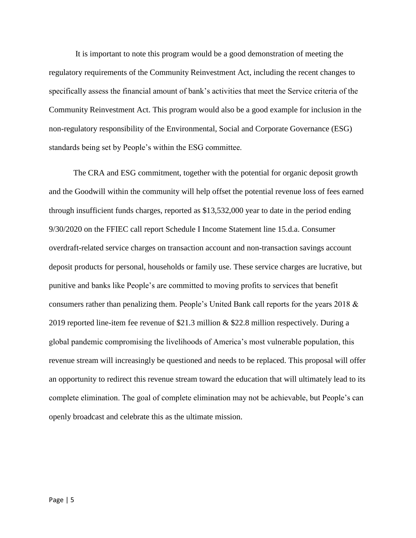It is important to note this program would be a good demonstration of meeting the regulatory requirements of the Community Reinvestment Act, including the recent changes to specifically assess the financial amount of bank's activities that meet the Service criteria of the Community Reinvestment Act. This program would also be a good example for inclusion in the non-regulatory responsibility of the Environmental, Social and Corporate Governance (ESG) standards being set by People's within the ESG committee.

The CRA and ESG commitment, together with the potential for organic deposit growth and the Goodwill within the community will help offset the potential revenue loss of fees earned through insufficient funds charges, reported as \$13,532,000 year to date in the period ending 9/30/2020 on the FFIEC call report Schedule I Income Statement line 15.d.a. Consumer overdraft-related service charges on transaction account and non-transaction savings account deposit products for personal, households or family use. These service charges are lucrative, but punitive and banks like People's are committed to moving profits to services that benefit consumers rather than penalizing them. People's United Bank call reports for the years 2018 & 2019 reported line-item fee revenue of \$21.3 million & \$22.8 million respectively. During a global pandemic compromising the livelihoods of America's most vulnerable population, this revenue stream will increasingly be questioned and needs to be replaced. This proposal will offer an opportunity to redirect this revenue stream toward the education that will ultimately lead to its complete elimination. The goal of complete elimination may not be achievable, but People's can openly broadcast and celebrate this as the ultimate mission.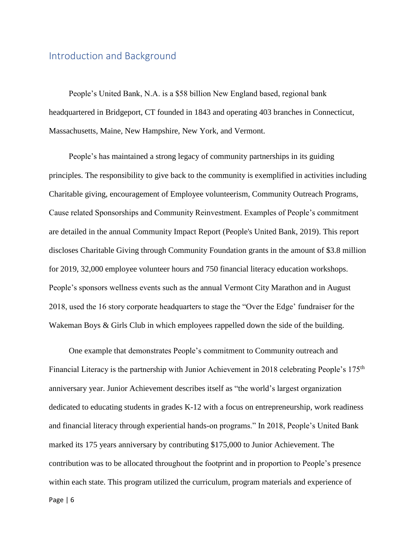#### <span id="page-6-0"></span>Introduction and Background

People's United Bank, N.A. is a \$58 billion New England based, regional bank headquartered in Bridgeport, CT founded in 1843 and operating 403 branches in Connecticut, Massachusetts, Maine, New Hampshire, New York, and Vermont.

People's has maintained a strong legacy of community partnerships in its guiding principles. The responsibility to give back to the community is exemplified in activities including Charitable giving, encouragement of Employee volunteerism, Community Outreach Programs, Cause related Sponsorships and Community Reinvestment. Examples of People's commitment are detailed in the annual Community Impact Report (People's United Bank, 2019). This report discloses Charitable Giving through Community Foundation grants in the amount of \$3.8 million for 2019, 32,000 employee volunteer hours and 750 financial literacy education workshops. People's sponsors wellness events such as the annual Vermont City Marathon and in August 2018, used the 16 story corporate headquarters to stage the "Over the Edge' fundraiser for the Wakeman Boys & Girls Club in which employees rappelled down the side of the building.

One example that demonstrates People's commitment to Community outreach and Financial Literacy is the partnership with Junior Achievement in 2018 celebrating People's 175<sup>th</sup> anniversary year. Junior Achievement describes itself as "the world's largest organization dedicated to educating students in grades K-12 with a focus on entrepreneurship, work readiness and financial literacy through experiential hands-on programs." In 2018, People's United Bank marked its 175 years anniversary by contributing \$175,000 to Junior Achievement. The contribution was to be allocated throughout the footprint and in proportion to People's presence within each state. This program utilized the curriculum, program materials and experience of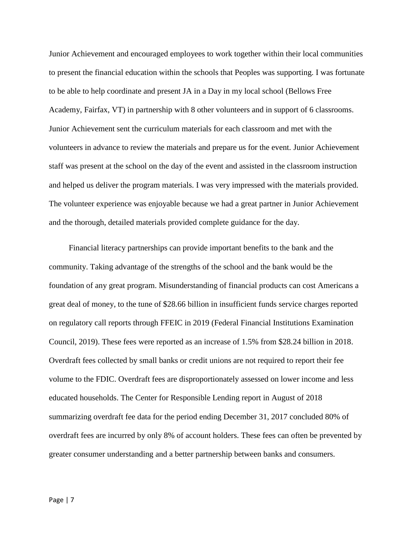Junior Achievement and encouraged employees to work together within their local communities to present the financial education within the schools that Peoples was supporting. I was fortunate to be able to help coordinate and present JA in a Day in my local school (Bellows Free Academy, Fairfax, VT) in partnership with 8 other volunteers and in support of 6 classrooms. Junior Achievement sent the curriculum materials for each classroom and met with the volunteers in advance to review the materials and prepare us for the event. Junior Achievement staff was present at the school on the day of the event and assisted in the classroom instruction and helped us deliver the program materials. I was very impressed with the materials provided. The volunteer experience was enjoyable because we had a great partner in Junior Achievement and the thorough, detailed materials provided complete guidance for the day.

Financial literacy partnerships can provide important benefits to the bank and the community. Taking advantage of the strengths of the school and the bank would be the foundation of any great program. Misunderstanding of financial products can cost Americans a great deal of money, to the tune of \$28.66 billion in insufficient funds service charges reported on regulatory call reports through FFEIC in 2019 (Federal Financial Institutions Examination Council, 2019). These fees were reported as an increase of 1.5% from \$28.24 billion in 2018. Overdraft fees collected by small banks or credit unions are not required to report their fee volume to the FDIC. Overdraft fees are disproportionately assessed on lower income and less educated households. The Center for Responsible Lending report in August of 2018 summarizing overdraft fee data for the period ending December 31, 2017 concluded 80% of overdraft fees are incurred by only 8% of account holders. These fees can often be prevented by greater consumer understanding and a better partnership between banks and consumers.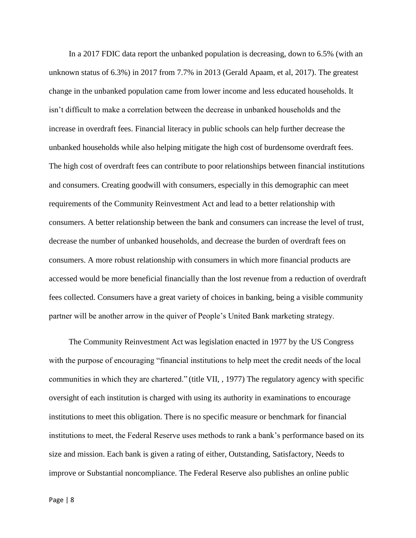In a 2017 FDIC data report the unbanked population is decreasing, down to 6.5% (with an unknown status of 6.3%) in 2017 from 7.7% in 2013 (Gerald Apaam, et al, 2017). The greatest change in the unbanked population came from lower income and less educated households. It isn't difficult to make a correlation between the decrease in unbanked households and the increase in overdraft fees. Financial literacy in public schools can help further decrease the unbanked households while also helping mitigate the high cost of burdensome overdraft fees. The high cost of overdraft fees can contribute to poor relationships between financial institutions and consumers. Creating goodwill with consumers, especially in this demographic can meet requirements of the Community Reinvestment Act and lead to a better relationship with consumers. A better relationship between the bank and consumers can increase the level of trust, decrease the number of unbanked households, and decrease the burden of overdraft fees on consumers. A more robust relationship with consumers in which more financial products are accessed would be more beneficial financially than the lost revenue from a reduction of overdraft fees collected. Consumers have a great variety of choices in banking, being a visible community partner will be another arrow in the quiver of People's United Bank marketing strategy.

The Community Reinvestment Act was legislation enacted in 1977 by the US Congress with the purpose of encouraging "financial institutions to help meet the credit needs of the local communities in which they are chartered." (title VII, , 1977) The regulatory agency with specific oversight of each institution is charged with using its authority in examinations to encourage institutions to meet this obligation. There is no specific measure or benchmark for financial institutions to meet, the Federal Reserve uses methods to rank a bank's performance based on its size and mission. Each bank is given a rating of either, Outstanding, Satisfactory, Needs to improve or Substantial noncompliance. The Federal Reserve also publishes an online public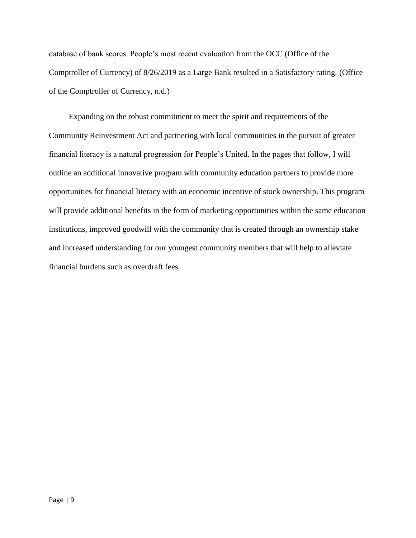database of bank scores. People's most recent evaluation from the OCC (Office of the Comptroller of Currency) of 8/26/2019 as a Large Bank resulted in a Satisfactory rating. (Office of the Comptroller of Currency, n.d.)

Expanding on the robust commitment to meet the spirit and requirements of the Community Reinvestment Act and partnering with local communities in the pursuit of greater financial literacy is a natural progression for People's United. In the pages that follow, I will outline an additional innovative program with community education partners to provide more opportunities for financial literacy with an economic incentive of stock ownership. This program will provide additional benefits in the form of marketing opportunities within the same education institutions, improved goodwill with the community that is created through an ownership stake and increased understanding for our youngest community members that will help to alleviate financial burdens such as overdraft fees.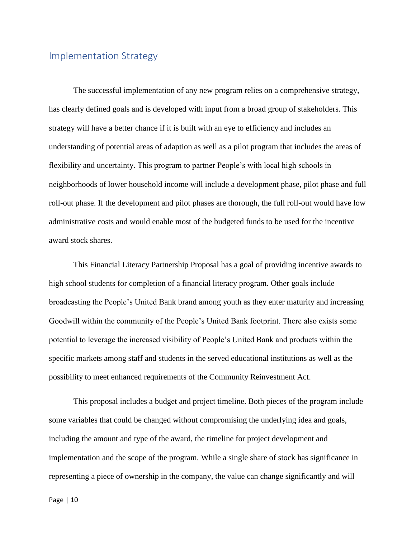#### <span id="page-10-0"></span>Implementation Strategy

The successful implementation of any new program relies on a comprehensive strategy, has clearly defined goals and is developed with input from a broad group of stakeholders. This strategy will have a better chance if it is built with an eye to efficiency and includes an understanding of potential areas of adaption as well as a pilot program that includes the areas of flexibility and uncertainty. This program to partner People's with local high schools in neighborhoods of lower household income will include a development phase, pilot phase and full roll-out phase. If the development and pilot phases are thorough, the full roll-out would have low administrative costs and would enable most of the budgeted funds to be used for the incentive award stock shares.

This Financial Literacy Partnership Proposal has a goal of providing incentive awards to high school students for completion of a financial literacy program. Other goals include broadcasting the People's United Bank brand among youth as they enter maturity and increasing Goodwill within the community of the People's United Bank footprint. There also exists some potential to leverage the increased visibility of People's United Bank and products within the specific markets among staff and students in the served educational institutions as well as the possibility to meet enhanced requirements of the Community Reinvestment Act.

This proposal includes a budget and project timeline. Both pieces of the program include some variables that could be changed without compromising the underlying idea and goals, including the amount and type of the award, the timeline for project development and implementation and the scope of the program. While a single share of stock has significance in representing a piece of ownership in the company, the value can change significantly and will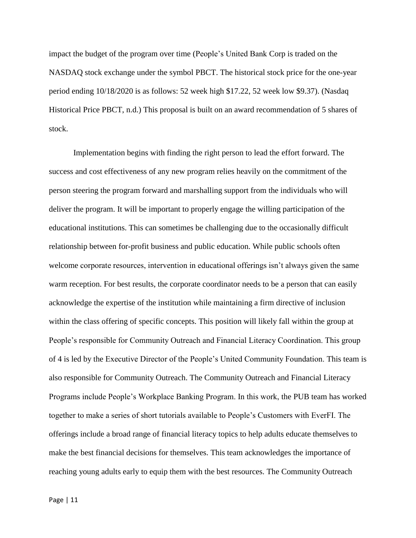impact the budget of the program over time (People's United Bank Corp is traded on the NASDAQ stock exchange under the symbol PBCT. The historical stock price for the one-year period ending 10/18/2020 is as follows: 52 week high \$17.22, 52 week low \$9.37). (Nasdaq Historical Price PBCT, n.d.) This proposal is built on an award recommendation of 5 shares of stock.

Implementation begins with finding the right person to lead the effort forward. The success and cost effectiveness of any new program relies heavily on the commitment of the person steering the program forward and marshalling support from the individuals who will deliver the program. It will be important to properly engage the willing participation of the educational institutions. This can sometimes be challenging due to the occasionally difficult relationship between for-profit business and public education. While public schools often welcome corporate resources, intervention in educational offerings isn't always given the same warm reception. For best results, the corporate coordinator needs to be a person that can easily acknowledge the expertise of the institution while maintaining a firm directive of inclusion within the class offering of specific concepts. This position will likely fall within the group at People's responsible for Community Outreach and Financial Literacy Coordination. This group of 4 is led by the Executive Director of the People's United Community Foundation. This team is also responsible for Community Outreach. The Community Outreach and Financial Literacy Programs include People's Workplace Banking Program. In this work, the PUB team has worked together to make a series of short tutorials available to People's Customers with EverFI. The offerings include a broad range of financial literacy topics to help adults educate themselves to make the best financial decisions for themselves. This team acknowledges the importance of reaching young adults early to equip them with the best resources. The Community Outreach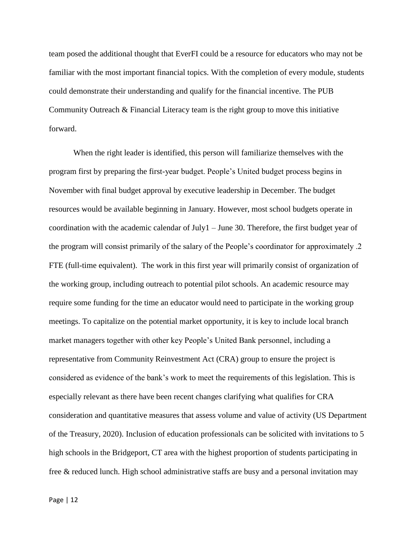team posed the additional thought that EverFI could be a resource for educators who may not be familiar with the most important financial topics. With the completion of every module, students could demonstrate their understanding and qualify for the financial incentive. The PUB Community Outreach & Financial Literacy team is the right group to move this initiative forward.

When the right leader is identified, this person will familiarize themselves with the program first by preparing the first-year budget. People's United budget process begins in November with final budget approval by executive leadership in December. The budget resources would be available beginning in January. However, most school budgets operate in coordination with the academic calendar of July1 – June 30. Therefore, the first budget year of the program will consist primarily of the salary of the People's coordinator for approximately .2 FTE (full-time equivalent). The work in this first year will primarily consist of organization of the working group, including outreach to potential pilot schools. An academic resource may require some funding for the time an educator would need to participate in the working group meetings. To capitalize on the potential market opportunity, it is key to include local branch market managers together with other key People's United Bank personnel, including a representative from Community Reinvestment Act (CRA) group to ensure the project is considered as evidence of the bank's work to meet the requirements of this legislation. This is especially relevant as there have been recent changes clarifying what qualifies for CRA consideration and quantitative measures that assess volume and value of activity (US Department of the Treasury, 2020). Inclusion of education professionals can be solicited with invitations to 5 high schools in the Bridgeport, CT area with the highest proportion of students participating in free & reduced lunch. High school administrative staffs are busy and a personal invitation may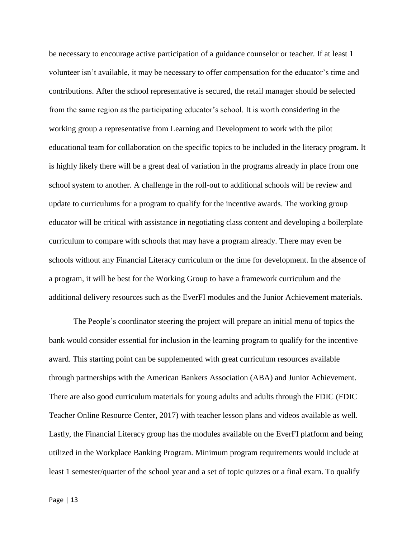be necessary to encourage active participation of a guidance counselor or teacher. If at least 1 volunteer isn't available, it may be necessary to offer compensation for the educator's time and contributions. After the school representative is secured, the retail manager should be selected from the same region as the participating educator's school. It is worth considering in the working group a representative from Learning and Development to work with the pilot educational team for collaboration on the specific topics to be included in the literacy program. It is highly likely there will be a great deal of variation in the programs already in place from one school system to another. A challenge in the roll-out to additional schools will be review and update to curriculums for a program to qualify for the incentive awards. The working group educator will be critical with assistance in negotiating class content and developing a boilerplate curriculum to compare with schools that may have a program already. There may even be schools without any Financial Literacy curriculum or the time for development. In the absence of a program, it will be best for the Working Group to have a framework curriculum and the additional delivery resources such as the EverFI modules and the Junior Achievement materials.

The People's coordinator steering the project will prepare an initial menu of topics the bank would consider essential for inclusion in the learning program to qualify for the incentive award. This starting point can be supplemented with great curriculum resources available through partnerships with the American Bankers Association (ABA) and Junior Achievement. There are also good curriculum materials for young adults and adults through the FDIC (FDIC Teacher Online Resource Center, 2017) with teacher lesson plans and videos available as well. Lastly, the Financial Literacy group has the modules available on the EverFI platform and being utilized in the Workplace Banking Program. Minimum program requirements would include at least 1 semester/quarter of the school year and a set of topic quizzes or a final exam. To qualify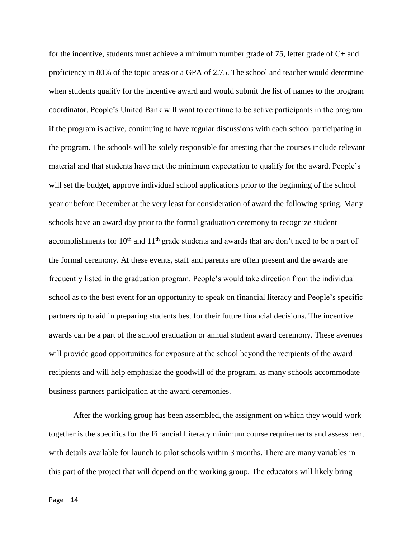for the incentive, students must achieve a minimum number grade of 75, letter grade of C+ and proficiency in 80% of the topic areas or a GPA of 2.75. The school and teacher would determine when students qualify for the incentive award and would submit the list of names to the program coordinator. People's United Bank will want to continue to be active participants in the program if the program is active, continuing to have regular discussions with each school participating in the program. The schools will be solely responsible for attesting that the courses include relevant material and that students have met the minimum expectation to qualify for the award. People's will set the budget, approve individual school applications prior to the beginning of the school year or before December at the very least for consideration of award the following spring. Many schools have an award day prior to the formal graduation ceremony to recognize student accomplishments for  $10<sup>th</sup>$  and  $11<sup>th</sup>$  grade students and awards that are don't need to be a part of the formal ceremony. At these events, staff and parents are often present and the awards are frequently listed in the graduation program. People's would take direction from the individual school as to the best event for an opportunity to speak on financial literacy and People's specific partnership to aid in preparing students best for their future financial decisions. The incentive awards can be a part of the school graduation or annual student award ceremony. These avenues will provide good opportunities for exposure at the school beyond the recipients of the award recipients and will help emphasize the goodwill of the program, as many schools accommodate business partners participation at the award ceremonies.

After the working group has been assembled, the assignment on which they would work together is the specifics for the Financial Literacy minimum course requirements and assessment with details available for launch to pilot schools within 3 months. There are many variables in this part of the project that will depend on the working group. The educators will likely bring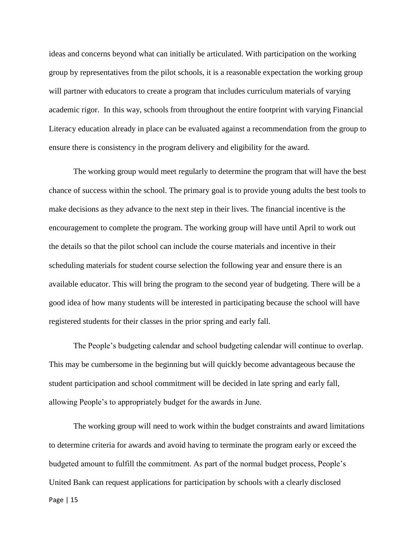ideas and concerns beyond what can initially be articulated. With participation on the working group by representatives from the pilot schools, it is a reasonable expectation the working group will partner with educators to create a program that includes curriculum materials of varying academic rigor. In this way, schools from throughout the entire footprint with varying Financial Literacy education already in place can be evaluated against a recommendation from the group to ensure there is consistency in the program delivery and eligibility for the award.

The working group would meet regularly to determine the program that will have the best chance of success within the school. The primary goal is to provide young adults the best tools to make decisions as they advance to the next step in their lives. The financial incentive is the encouragement to complete the program. The working group will have until April to work out the details so that the pilot school can include the course materials and incentive in their scheduling materials for student course selection the following year and ensure there is an available educator. This will bring the program to the second year of budgeting. There will be a good idea of how many students will be interested in participating because the school will have registered students for their classes in the prior spring and early fall.

The People's budgeting calendar and school budgeting calendar will continue to overlap. This may be cumbersome in the beginning but will quickly become advantageous because the student participation and school commitment will be decided in late spring and early fall, allowing People's to appropriately budget for the awards in June.

Page | 15 The working group will need to work within the budget constraints and award limitations to determine criteria for awards and avoid having to terminate the program early or exceed the budgeted amount to fulfill the commitment. As part of the normal budget process, People's United Bank can request applications for participation by schools with a clearly disclosed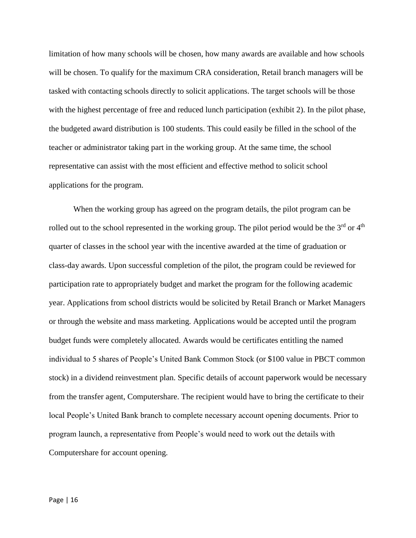limitation of how many schools will be chosen, how many awards are available and how schools will be chosen. To qualify for the maximum CRA consideration, Retail branch managers will be tasked with contacting schools directly to solicit applications. The target schools will be those with the highest percentage of free and reduced lunch participation (exhibit 2). In the pilot phase, the budgeted award distribution is 100 students. This could easily be filled in the school of the teacher or administrator taking part in the working group. At the same time, the school representative can assist with the most efficient and effective method to solicit school applications for the program.

When the working group has agreed on the program details, the pilot program can be rolled out to the school represented in the working group. The pilot period would be the  $3<sup>rd</sup>$  or  $4<sup>th</sup>$ quarter of classes in the school year with the incentive awarded at the time of graduation or class-day awards. Upon successful completion of the pilot, the program could be reviewed for participation rate to appropriately budget and market the program for the following academic year. Applications from school districts would be solicited by Retail Branch or Market Managers or through the website and mass marketing. Applications would be accepted until the program budget funds were completely allocated. Awards would be certificates entitling the named individual to 5 shares of People's United Bank Common Stock (or \$100 value in PBCT common stock) in a dividend reinvestment plan. Specific details of account paperwork would be necessary from the transfer agent, Computershare. The recipient would have to bring the certificate to their local People's United Bank branch to complete necessary account opening documents. Prior to program launch, a representative from People's would need to work out the details with Computershare for account opening.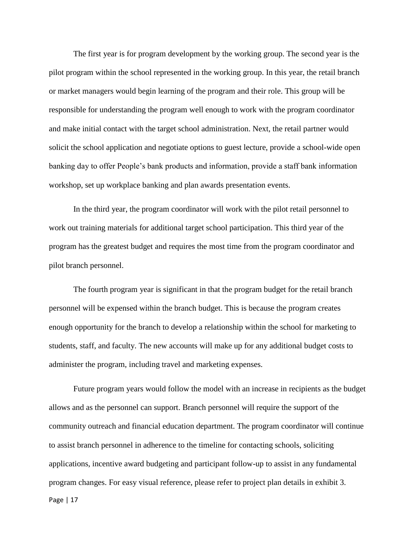The first year is for program development by the working group. The second year is the pilot program within the school represented in the working group. In this year, the retail branch or market managers would begin learning of the program and their role. This group will be responsible for understanding the program well enough to work with the program coordinator and make initial contact with the target school administration. Next, the retail partner would solicit the school application and negotiate options to guest lecture, provide a school-wide open banking day to offer People's bank products and information, provide a staff bank information workshop, set up workplace banking and plan awards presentation events.

In the third year, the program coordinator will work with the pilot retail personnel to work out training materials for additional target school participation. This third year of the program has the greatest budget and requires the most time from the program coordinator and pilot branch personnel.

The fourth program year is significant in that the program budget for the retail branch personnel will be expensed within the branch budget. This is because the program creates enough opportunity for the branch to develop a relationship within the school for marketing to students, staff, and faculty. The new accounts will make up for any additional budget costs to administer the program, including travel and marketing expenses.

Future program years would follow the model with an increase in recipients as the budget allows and as the personnel can support. Branch personnel will require the support of the community outreach and financial education department. The program coordinator will continue to assist branch personnel in adherence to the timeline for contacting schools, soliciting applications, incentive award budgeting and participant follow-up to assist in any fundamental program changes. For easy visual reference, please refer to project plan details in exhibit 3.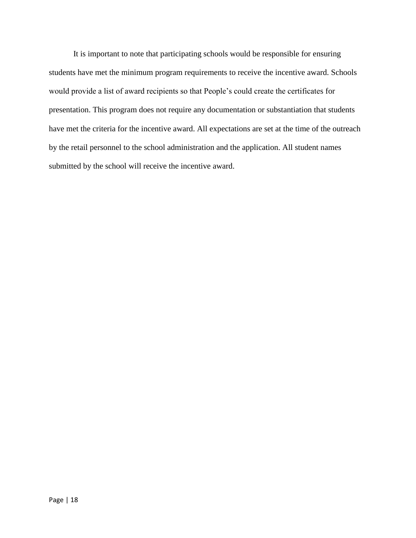It is important to note that participating schools would be responsible for ensuring students have met the minimum program requirements to receive the incentive award. Schools would provide a list of award recipients so that People's could create the certificates for presentation. This program does not require any documentation or substantiation that students have met the criteria for the incentive award. All expectations are set at the time of the outreach by the retail personnel to the school administration and the application. All student names submitted by the school will receive the incentive award.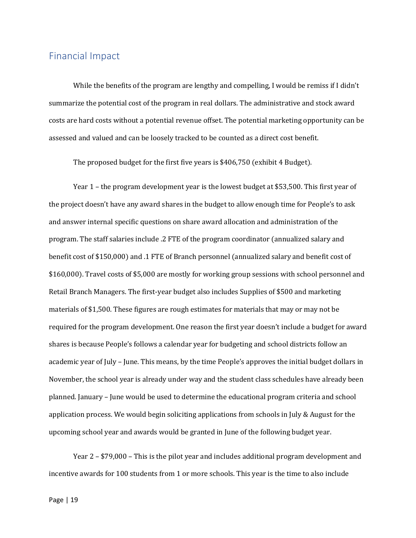#### <span id="page-19-0"></span>Financial Impact

While the benefits of the program are lengthy and compelling, I would be remiss if I didn't summarize the potential cost of the program in real dollars. The administrative and stock award costs are hard costs without a potential revenue offset. The potential marketing opportunity can be assessed and valued and can be loosely tracked to be counted as a direct cost benefit.

The proposed budget for the first five years is \$406,750 (exhibit 4 Budget).

Year 1 – the program development year is the lowest budget at \$53,500. This first year of the project doesn't have any award shares in the budget to allow enough time for People's to ask and answer internal specific questions on share award allocation and administration of the program. The staff salaries include .2 FTE of the program coordinator (annualized salary and benefit cost of \$150,000) and .1 FTE of Branch personnel (annualized salary and benefit cost of \$160,000). Travel costs of \$5,000 are mostly for working group sessions with school personnel and Retail Branch Managers. The first-year budget also includes Supplies of \$500 and marketing materials of \$1,500. These figures are rough estimates for materials that may or may not be required for the program development. One reason the first year doesn't include a budget for award shares is because People's follows a calendar year for budgeting and school districts follow an academic year of July – June. This means, by the time People's approves the initial budget dollars in November, the school year is already under way and the student class schedules have already been planned. January – June would be used to determine the educational program criteria and school application process. We would begin soliciting applications from schools in July & August for the upcoming school year and awards would be granted in June of the following budget year.

Year 2 – \$79,000 – This is the pilot year and includes additional program development and incentive awards for 100 students from 1 or more schools. This year is the time to also include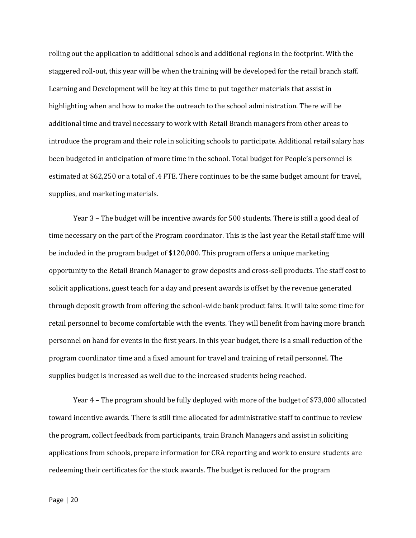rolling out the application to additional schools and additional regions in the footprint. With the staggered roll-out, this year will be when the training will be developed for the retail branch staff. Learning and Development will be key at this time to put together materials that assist in highlighting when and how to make the outreach to the school administration. There will be additional time and travel necessary to work with Retail Branch managers from other areas to introduce the program and their role in soliciting schools to participate. Additional retail salary has been budgeted in anticipation of more time in the school. Total budget for People's personnel is estimated at \$62,250 or a total of .4 FTE. There continues to be the same budget amount for travel, supplies, and marketing materials.

Year 3 – The budget will be incentive awards for 500 students. There is still a good deal of time necessary on the part of the Program coordinator. This is the last year the Retail staff time will be included in the program budget of \$120,000. This program offers a unique marketing opportunity to the Retail Branch Manager to grow deposits and cross-sell products. The staff cost to solicit applications, guest teach for a day and present awards is offset by the revenue generated through deposit growth from offering the school-wide bank product fairs. It will take some time for retail personnel to become comfortable with the events. They will benefit from having more branch personnel on hand for events in the first years. In this year budget, there is a small reduction of the program coordinator time and a fixed amount for travel and training of retail personnel. The supplies budget is increased as well due to the increased students being reached.

Year 4 – The program should be fully deployed with more of the budget of \$73,000 allocated toward incentive awards. There is still time allocated for administrative staff to continue to review the program, collect feedback from participants, train Branch Managers and assist in soliciting applications from schools, prepare information for CRA reporting and work to ensure students are redeeming their certificates for the stock awards. The budget is reduced for the program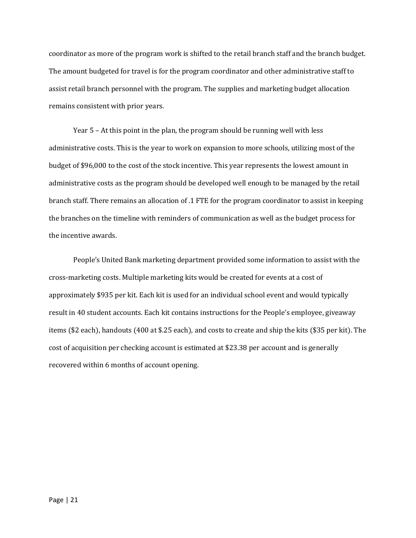coordinator as more of the program work is shifted to the retail branch staff and the branch budget. The amount budgeted for travel is for the program coordinator and other administrative staff to assist retail branch personnel with the program. The supplies and marketing budget allocation remains consistent with prior years.

Year 5 – At this point in the plan, the program should be running well with less administrative costs. This is the year to work on expansion to more schools, utilizing most of the budget of \$96,000 to the cost of the stock incentive. This year represents the lowest amount in administrative costs as the program should be developed well enough to be managed by the retail branch staff. There remains an allocation of .1 FTE for the program coordinator to assist in keeping the branches on the timeline with reminders of communication as well as the budget process for the incentive awards.

People's United Bank marketing department provided some information to assist with the cross-marketing costs. Multiple marketing kits would be created for events at a cost of approximately \$935 per kit. Each kit is used for an individual school event and would typically result in 40 student accounts. Each kit contains instructions for the People's employee, giveaway items (\$2 each), handouts (400 at \$.25 each), and costs to create and ship the kits (\$35 per kit). The cost of acquisition per checking account is estimated at \$23.38 per account and is generally recovered within 6 months of account opening.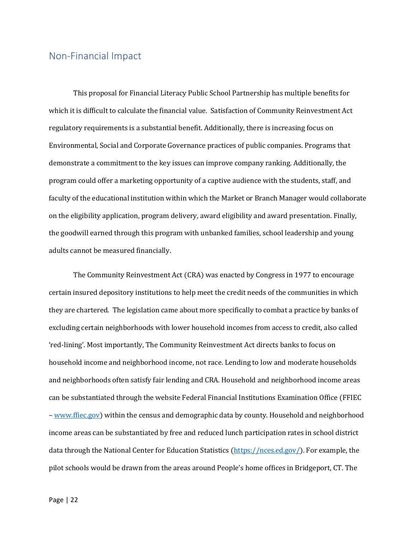#### <span id="page-22-0"></span>Non-Financial Impact

This proposal for Financial Literacy Public School Partnership has multiple benefits for which it is difficult to calculate the financial value. Satisfaction of Community Reinvestment Act regulatory requirements is a substantial benefit. Additionally, there is increasing focus on Environmental, Social and Corporate Governance practices of public companies. Programs that demonstrate a commitment to the key issues can improve company ranking. Additionally, the program could offer a marketing opportunity of a captive audience with the students, staff, and faculty of the educational institution within which the Market or Branch Manager would collaborate on the eligibility application, program delivery, award eligibility and award presentation. Finally, the goodwill earned through this program with unbanked families, school leadership and young adults cannot be measured financially.

The Community Reinvestment Act (CRA) was enacted by Congress in 1977 to encourage certain insured depository institutions to help meet the credit needs of the communities in which they are chartered. The legislation came about more specifically to combat a practice by banks of excluding certain neighborhoods with lower household incomes from access to credit, also called 'red-lining'. Most importantly, The Community Reinvestment Act directs banks to focus on household income and neighborhood income, not race. Lending to low and moderate households and neighborhoods often satisfy fair lending and CRA. Household and neighborhood income areas can be substantiated through the website Federal Financial Institutions Examination Office (FFIEC – [www.ffiec.gov\)](file://///PUB/CorpDFS/Users/8/P0027438/Stonier/Capstone/www.ffiec.gov) within the census and demographic data by county. Household and neighborhood income areas can be substantiated by free and reduced lunch participation rates in school district data through the National Center for Education Statistics [\(https://nces.ed.gov/\)](https://nces.ed.gov/). For example, the pilot schools would be drawn from the areas around People's home offices in Bridgeport, CT. The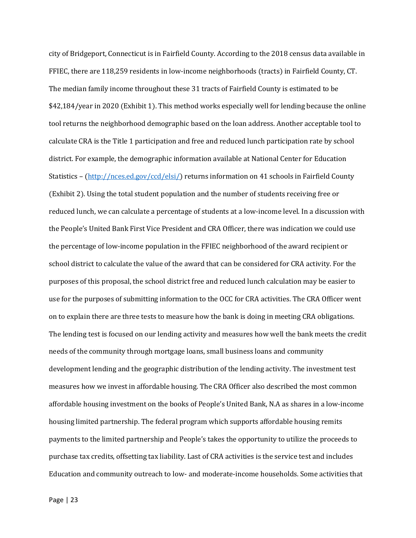city of Bridgeport, Connecticut is in Fairfield County. According to the 2018 census data available in FFIEC, there are 118,259 residents in low-income neighborhoods (tracts) in Fairfield County, CT. The median family income throughout these 31 tracts of Fairfield County is estimated to be \$42,184/year in 2020 (Exhibit 1). This method works especially well for lending because the online tool returns the neighborhood demographic based on the loan address. Another acceptable tool to calculate CRA is the Title 1 participation and free and reduced lunch participation rate by school district. For example, the demographic information available at National Center for Education Statistics – [\(http://nces.ed.gov/ccd/elsi/\)](http://nces.ed.gov/ccd/elsi/) returns information on 41 schools in Fairfield County (Exhibit 2). Using the total student population and the number of students receiving free or reduced lunch, we can calculate a percentage of students at a low-income level. In a discussion with the People's United Bank First Vice President and CRA Officer, there was indication we could use the percentage of low-income population in the FFIEC neighborhood of the award recipient or school district to calculate the value of the award that can be considered for CRA activity. For the purposes of this proposal, the school district free and reduced lunch calculation may be easier to use for the purposes of submitting information to the OCC for CRA activities. The CRA Officer went on to explain there are three tests to measure how the bank is doing in meeting CRA obligations. The lending test is focused on our lending activity and measures how well the bank meets the credit needs of the community through mortgage loans, small business loans and community development lending and the geographic distribution of the lending activity. The investment test measures how we invest in affordable housing. The CRA Officer also described the most common affordable housing investment on the books of People's United Bank, N.A as shares in a low-income housing limited partnership. The federal program which supports affordable housing remits payments to the limited partnership and People's takes the opportunity to utilize the proceeds to purchase tax credits, offsetting tax liability. Last of CRA activities is the service test and includes Education and community outreach to low- and moderate-income households. Some activities that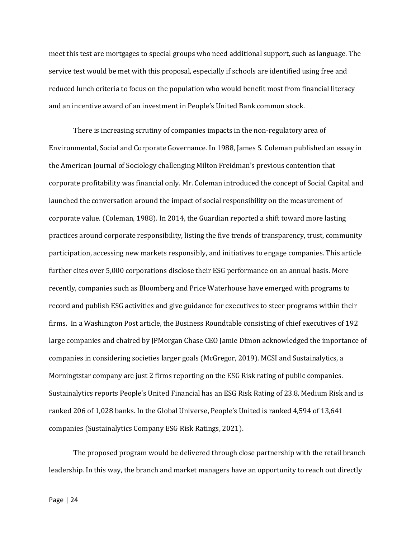meet this test are mortgages to special groups who need additional support, such as language. The service test would be met with this proposal, especially if schools are identified using free and reduced lunch criteria to focus on the population who would benefit most from financial literacy and an incentive award of an investment in People's United Bank common stock.

There is increasing scrutiny of companies impacts in the non-regulatory area of Environmental, Social and Corporate Governance. In 1988, James S. Coleman published an essay in the American Journal of Sociology challenging Milton Freidman's previous contention that corporate profitability was financial only. Mr. Coleman introduced the concept of Social Capital and launched the conversation around the impact of social responsibility on the measurement of corporate value. (Coleman, 1988). In 2014, the Guardian reported a shift toward more lasting practices around corporate responsibility, listing the five trends of transparency, trust, community participation, accessing new markets responsibly, and initiatives to engage companies. This article further cites over 5,000 corporations disclose their ESG performance on an annual basis. More recently, companies such as Bloomberg and Price Waterhouse have emerged with programs to record and publish ESG activities and give guidance for executives to steer programs within their firms. In a Washington Post article, the Business Roundtable consisting of chief executives of 192 large companies and chaired by JPMorgan Chase CEO Jamie Dimon acknowledged the importance of companies in considering societies larger goals (McGregor, 2019). MCSI and Sustainalytics, a Morningtstar company are just 2 firms reporting on the ESG Risk rating of public companies. Sustainalytics reports People's United Financial has an ESG Risk Rating of 23.8, Medium Risk and is ranked 206 of 1,028 banks. In the Global Universe, People's United is ranked 4,594 of 13,641 companies (Sustainalytics Company ESG Risk Ratings, 2021).

The proposed program would be delivered through close partnership with the retail branch leadership. In this way, the branch and market managers have an opportunity to reach out directly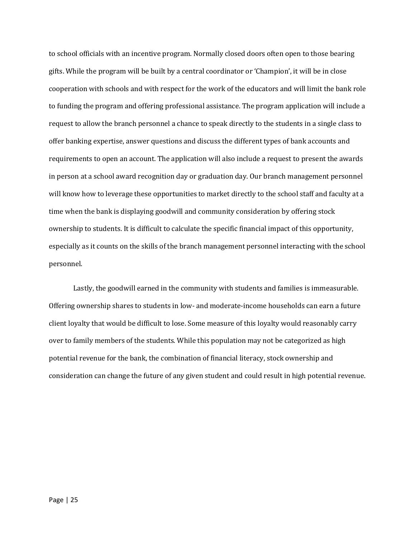to school officials with an incentive program. Normally closed doors often open to those bearing gifts. While the program will be built by a central coordinator or 'Champion', it will be in close cooperation with schools and with respect for the work of the educators and will limit the bank role to funding the program and offering professional assistance. The program application will include a request to allow the branch personnel a chance to speak directly to the students in a single class to offer banking expertise, answer questions and discuss the different types of bank accounts and requirements to open an account. The application will also include a request to present the awards in person at a school award recognition day or graduation day. Our branch management personnel will know how to leverage these opportunities to market directly to the school staff and faculty at a time when the bank is displaying goodwill and community consideration by offering stock ownership to students. It is difficult to calculate the specific financial impact of this opportunity, especially as it counts on the skills of the branch management personnel interacting with the school personnel.

Lastly, the goodwill earned in the community with students and families is immeasurable. Offering ownership shares to students in low- and moderate-income households can earn a future client loyalty that would be difficult to lose. Some measure of this loyalty would reasonably carry over to family members of the students. While this population may not be categorized as high potential revenue for the bank, the combination of financial literacy, stock ownership and consideration can change the future of any given student and could result in high potential revenue.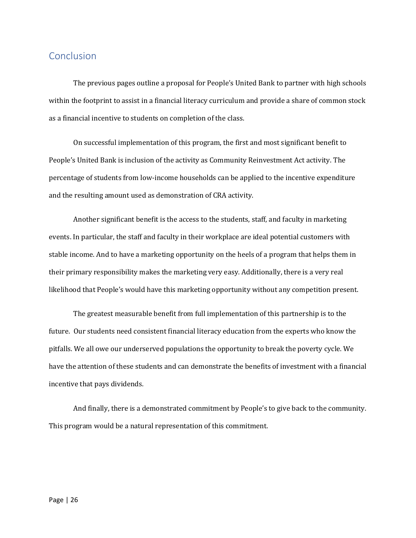#### <span id="page-26-0"></span>Conclusion

The previous pages outline a proposal for People's United Bank to partner with high schools within the footprint to assist in a financial literacy curriculum and provide a share of common stock as a financial incentive to students on completion of the class.

On successful implementation of this program, the first and most significant benefit to People's United Bank is inclusion of the activity as Community Reinvestment Act activity. The percentage of students from low-income households can be applied to the incentive expenditure and the resulting amount used as demonstration of CRA activity.

Another significant benefit is the access to the students, staff, and faculty in marketing events. In particular, the staff and faculty in their workplace are ideal potential customers with stable income. And to have a marketing opportunity on the heels of a program that helps them in their primary responsibility makes the marketing very easy. Additionally, there is a very real likelihood that People's would have this marketing opportunity without any competition present.

The greatest measurable benefit from full implementation of this partnership is to the future. Our students need consistent financial literacy education from the experts who know the pitfalls. We all owe our underserved populations the opportunity to break the poverty cycle. We have the attention of these students and can demonstrate the benefits of investment with a financial incentive that pays dividends.

And finally, there is a demonstrated commitment by People's to give back to the community. This program would be a natural representation of this commitment.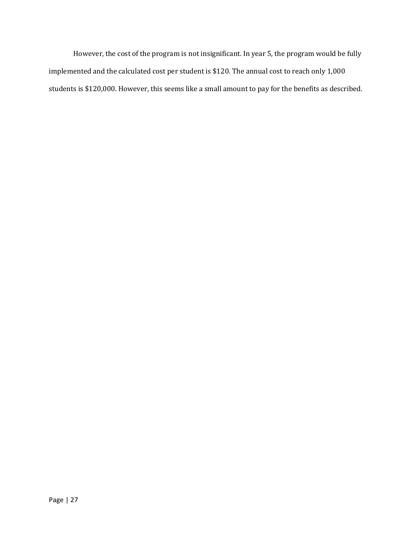However, the cost of the program is not insignificant. In year 5, the program would be fully implemented and the calculated cost per student is \$120. The annual cost to reach only 1,000 students is \$120,000. However, this seems like a small amount to pay for the benefits as described.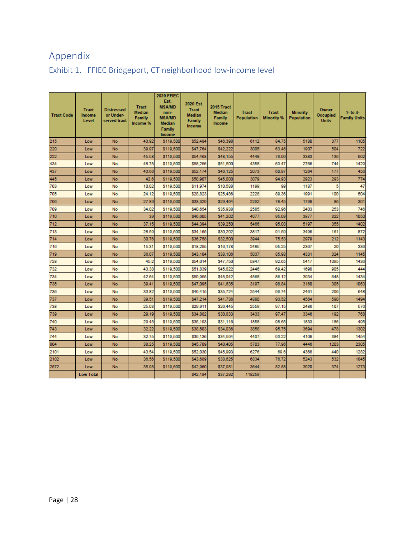## <span id="page-28-0"></span>Appendix

| <b>Tract Code</b> | <b>Tract</b><br>Income<br>Level | <b>Distressed</b><br>or Under-<br>served tract | <b>Tract</b><br><b>Median</b><br>Family<br>Income % | <b>2020 FFIEC</b><br>Est.<br><b>MSA/MD</b><br>non-<br><b>MSA/MD</b><br><b>Median</b><br>Family<br><b>Income</b> | 2020 Est.<br><b>Tract</b><br>Median<br><b>Family</b><br>Income | 2015 Tract<br><b>Median</b><br>Family<br>Income | <b>Tract</b><br><b>Population</b> | <b>Tract</b><br><b>Minority %</b> | <b>Minority</b><br>Population | Owner<br>Occupied<br><b>Units</b> | $1-$ to $4-$<br><b>Family Units</b> |
|-------------------|---------------------------------|------------------------------------------------|-----------------------------------------------------|-----------------------------------------------------------------------------------------------------------------|----------------------------------------------------------------|-------------------------------------------------|-----------------------------------|-----------------------------------|-------------------------------|-----------------------------------|-------------------------------------|
| 215               | Low                             | No                                             | 43.92                                               | \$119,500                                                                                                       | \$52,484                                                       | \$46,398                                        | 6112                              | 84.75                             | 5180                          | 377                               | 1105                                |
| 220               | Low                             | No                                             | 39.97                                               | \$119,500                                                                                                       | \$47.764                                                       | \$42.222                                        | 3005                              | 63.46                             | 1907                          | 504                               | 722                                 |
| 222               | Low                             | No                                             | 45.58                                               | \$119,500                                                                                                       | \$54,468                                                       | \$48,155                                        | 4448                              | 76.06                             | 3383                          | 136                               | 662                                 |
| 434               | Low                             | No                                             | 48.75                                               | \$119,500                                                                                                       | \$58,256                                                       | \$51,500                                        | 4358                              | 63.47                             | 2766                          | 744                               | 1429                                |
| 437               | Low                             | No                                             | 43.66                                               | \$119,500                                                                                                       | \$52,174                                                       | \$46,125                                        | 2073                              | 60.97                             | 1264                          | 177                               | 456                                 |
| 445               | Low                             | No                                             | 42.6                                                | \$119,500                                                                                                       | \$50,907                                                       | \$45,000                                        | 3079                              | 94.93                             | 2923                          | 293                               | 774                                 |
| 703               | Low                             | <b>No</b>                                      | 10.02                                               | \$119,500                                                                                                       | \$11,974                                                       | \$10,588                                        | 1199                              | 99                                | 1187                          | 5                                 | 47                                  |
| 705               | Low                             | No                                             | 24.12                                               | \$119,500                                                                                                       | \$28,823                                                       | \$25,486                                        | 2228                              | 89.36                             | 1991                          | 100                               | 504                                 |
| 706               | Low                             | No                                             | 27.89                                               | \$119,500                                                                                                       | \$33,329                                                       | \$29,464                                        | 2292                              | 78.45                             | 1798                          | 86                                | 301                                 |
| 709               | Low                             | No                                             | 34.02                                               | \$119,500                                                                                                       | \$40,654                                                       | \$35,938                                        | 2585                              | 92.96                             | 2403                          | 253                               | 746                                 |
| 710               | Low                             | No                                             | 39                                                  | \$119,500                                                                                                       | \$46,605                                                       | \$41.202                                        | 4077                              | 95.09                             | 3877                          | 322                               | 1050                                |
| 712               | Low                             | No                                             | 37.15                                               | \$119,500                                                                                                       | \$44,394                                                       | \$39,250                                        | 5466                              | 95.08                             | 5197                          | 355                               | 1402                                |
| 713               | Low                             | <b>No</b>                                      | 28.59                                               | \$119,500                                                                                                       | \$34,165                                                       | \$30,202                                        | 3817                              | 91.59                             | 3496                          | 161                               | 872                                 |
| 714               | Low                             | No                                             | 30.76                                               | \$119,500                                                                                                       | \$36,758                                                       | \$32,500                                        | 3944                              | 75.53                             | 2979                          | 212                               | 1143                                |
| 716               | Low                             | No                                             | 15.31                                               | \$119,500                                                                                                       | \$18,295                                                       | \$16,178                                        | 2485                              | 95.25                             | 2367                          | 20                                | 336                                 |
| 719               | Low                             | No                                             | 36.07                                               | \$119,500                                                                                                       | \$43,104                                                       | \$38,106                                        | 5037                              | 85.98                             | 4331                          | 324                               | 1145                                |
| 728               | Low                             | No                                             | 45.2                                                | \$119,500                                                                                                       | \$54,014                                                       | \$47,750                                        | 5847                              | 92.65                             | 5417                          | 1095                              | 1436                                |
| 732               | Low                             | No                                             | 43.38                                               | \$119,500                                                                                                       | \$51,839                                                       | \$45,822                                        | 2446                              | 69.42                             | 1698                          | 905                               | 444                                 |
| 734               | Low                             | No                                             | 42.64                                               | \$119,500                                                                                                       | \$50,955                                                       | \$45.042                                        | 4568                              | 86.12                             | 3934                          | 648                               | 1434                                |
| 735               | Low                             | No                                             | 39.41                                               | \$119,500                                                                                                       | \$47,095                                                       | \$41,635                                        | 3197                              | 98.84                             | 3160                          | 305                               | 1063                                |
| 736               | Low                             | No                                             | 33.82                                               | \$119,500                                                                                                       | \$40,415                                                       | \$35,724                                        | 2544                              | 96.74                             | 2461                          | 206                               | 648                                 |
| 737               | Low                             | No                                             | 39.51                                               | \$119,500                                                                                                       | \$47,214                                                       | \$41,736                                        | 4880                              | 93.52                             | 4564                          | 590                               | 1494                                |
| 738               | Low                             | No                                             | 25.03                                               | \$119,500                                                                                                       | \$29,911                                                       | \$26,445                                        | 2550                              | 97.15                             | 2486                          | 107                               | 576                                 |
| 739               | Low                             | No                                             | 29.19                                               | \$119,500                                                                                                       | \$34,882                                                       | \$30,833                                        | 3433                              | 97.47                             | 3346                          | 192                               | 768                                 |
| 740               | Low                             | No                                             | 29.45                                               | \$119,500                                                                                                       | \$35,193                                                       | \$31,116                                        | 1858                              | 98.65                             | 1833                          | 186                               | 495                                 |
| 743               | Low                             | No                                             | 32.22                                               | \$119,500                                                                                                       | \$38,503                                                       | \$34.036                                        | 3858                              | 95.75                             | 3694                          | 478                               | 1302                                |
| 744               | Low                             | <b>No</b>                                      | 32.75                                               | \$119,500                                                                                                       | \$39,136                                                       | \$34.594                                        | 4407                              | 93.22                             | 4108                          | 384                               | 1454                                |
| 804               | Low                             | <b>No</b>                                      | 38.25                                               | \$119,500                                                                                                       | \$45,709                                                       | \$40,405                                        | 5703                              | 77.96                             | 4446                          | 1203                              | 2305                                |
| 2101              | Low                             | No                                             | 43.54                                               | \$119,500                                                                                                       | \$52,030                                                       | \$45,993                                        | 6276                              | 69.6                              | 4368                          | 440                               | 1282                                |
| 2102              | Low                             | No                                             | 36.56                                               | \$119,500                                                                                                       | \$43,689                                                       | \$38,625                                        | 6834                              | 76.72                             | 5243                          | 532                               | 1845                                |
| 2572              | Low                             | No                                             | 35.95                                               | \$119,500                                                                                                       | \$42,960                                                       | \$37,981                                        | 3644                              | 82.88                             | 3020                          | 374                               | 1273                                |
|                   | <b>Low Total</b>                |                                                |                                                     |                                                                                                                 | \$42,184                                                       | \$37,292                                        | 118259                            |                                   |                               |                                   |                                     |

#### <span id="page-28-1"></span>Exhibit 1. FFIEC Bridgeport, CT neighborhood low-income level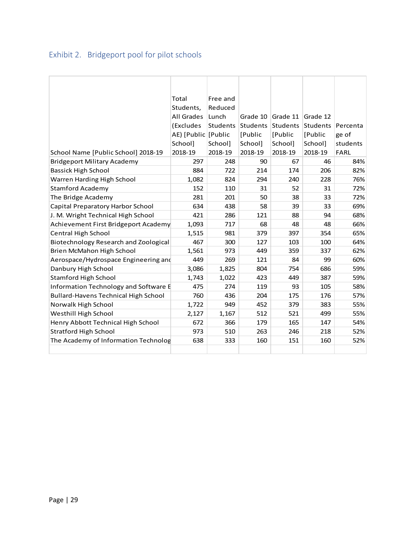## <span id="page-29-0"></span>Exhibit 2. Bridgeport pool for pilot schools

|                                             | Total                 | Free and |                   |                   |          |             |
|---------------------------------------------|-----------------------|----------|-------------------|-------------------|----------|-------------|
|                                             | Students,             | Reduced  |                   |                   |          |             |
|                                             | All Grades            | Lunch    |                   | Grade 10 Grade 11 | Grade 12 |             |
|                                             | (Excludes             |          | Students Students | Students          | Students | Percenta    |
|                                             | AE) [Public   [Public |          | [Public]          | [Public]          | [Public] | ge of       |
|                                             | School]               | School]  | School]           | School]           | School]  | students    |
| School Name [Public School] 2018-19         | 2018-19               | 2018-19  | 2018-19           | 2018-19           | 2018-19  | <b>FARL</b> |
| <b>Bridgeport Military Academy</b>          | 297                   | 248      | 90                | 67                | 46       | 84%         |
| Bassick High School                         | 884                   | 722      | 214               | 174               | 206      | 82%         |
| Warren Harding High School                  | 1,082                 | 824      | 294               | 240               | 228      | 76%         |
| <b>Stamford Academy</b>                     | 152                   | 110      | 31                | 52                | 31       | 72%         |
| The Bridge Academy                          | 281                   | 201      | 50                | 38                | 33       | 72%         |
| Capital Preparatory Harbor School           | 634                   | 438      | 58                | 39                | 33       | 69%         |
| J. M. Wright Technical High School          | 421                   | 286      | 121               | 88                | 94       | 68%         |
| Achievement First Bridgeport Academy        | 1,093                 | 717      | 68                | 48                | 48       | 66%         |
| Central High School                         | 1,515                 | 981      | 379               | 397               | 354      | 65%         |
| Biotechnology Research and Zoological       | 467                   | 300      | 127               | 103               | 100      | 64%         |
| Brien McMahon High School                   | 1,561                 | 973      | 449               | 359               | 337      | 62%         |
| Aerospace/Hydrospace Engineering and        | 449                   | 269      | 121               | 84                | 99       | 60%         |
| Danbury High School                         | 3,086                 | 1,825    | 804               | 754               | 686      | 59%         |
| <b>Stamford High School</b>                 | 1,743                 | 1,022    | 423               | 449               | 387      | 59%         |
| Information Technology and Software E       | 475                   | 274      | 119               | 93                | 105      | 58%         |
| <b>Bullard-Havens Technical High School</b> | 760                   | 436      | 204               | 175               | 176      | 57%         |
| Norwalk High School                         | 1,722                 | 949      | 452               | 379               | 383      | 55%         |
| Westhill High School                        | 2,127                 | 1,167    | 512               | 521               | 499      | 55%         |
| Henry Abbott Technical High School          | 672                   | 366      | 179               | 165               | 147      | 54%         |
| <b>Stratford High School</b>                | 973                   | 510      | 263               | 246               | 218      | 52%         |
| The Academy of Information Technolog        | 638                   | 333      | 160               | 151               | 160      | 52%         |
|                                             |                       |          |                   |                   |          |             |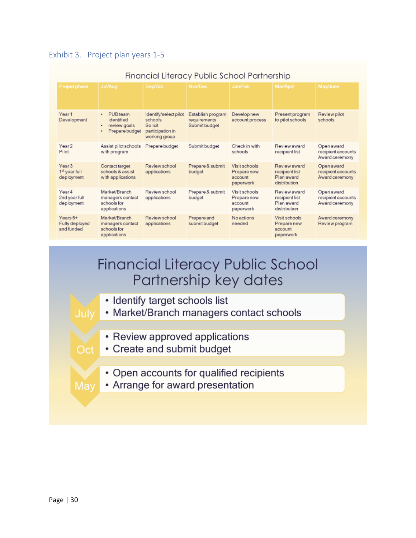|                                                              |                                                                         | Financial Literacy Public School Partnership                                     |                                                    |                                                      |                                                              |                                                    |
|--------------------------------------------------------------|-------------------------------------------------------------------------|----------------------------------------------------------------------------------|----------------------------------------------------|------------------------------------------------------|--------------------------------------------------------------|----------------------------------------------------|
| Project phase                                                | <b>Jul/Aug</b>                                                          | Sep/Oct                                                                          | Nov/Dec                                            | Jan/Feb                                              | Mar/April                                                    | May/June                                           |
| Year 1<br>Development                                        | PUB team<br>٠<br>identified<br>review goals<br>٠<br>Prepare budget<br>٠ | Identify/select pilot<br>schools<br>Solicit<br>participation in<br>working group | Establish program<br>requirements<br>Submit budget | Develop new<br>account process                       | Present program<br>to pilot schools                          | Review pilot<br>schools                            |
| Year <sub>2</sub><br>Pilot                                   | Assist pilot schools<br>with program                                    | Prepare budget                                                                   | Submit budget                                      | Check in with<br>schools                             | Review award<br>recipient list                               | Open award<br>recipient accounts<br>Award ceremony |
| Year <sub>3</sub><br>1 <sup>st</sup> year full<br>deployment | Contact target<br>schools & assist<br>with applications                 | Review school<br>applications                                                    | Prepare & submit<br>budget                         | Visit schools<br>Prepare new<br>account<br>paperwork | Review award<br>recipient list<br>Plan award<br>distribution | Open award<br>recipient accounts<br>Award ceremony |
| Year 4<br>2nd year full<br>deployment                        | Market/Branch<br>managers contact<br>schools for<br>applications        | Review school<br>applications                                                    | Prepare & submit<br>budget                         | Visit schools<br>Prepare new<br>account<br>paperwork | Review award<br>recipient list<br>Plan award<br>distribution | Open award<br>recipient accounts<br>Award ceremony |
| Years 5+<br>Fully deployed<br>and funded                     | Market/Branch<br>managers contact<br>schools for<br>applications        | Review school<br>applications                                                    | Prepare and<br>submit budget                       | No actions<br>needed                                 | Visit schools<br>Prepare new<br>account<br>paperwork         | Award ceremony<br>Review program                   |

#### <span id="page-30-0"></span>Exhibit 3. Project plan years 1-5

## Financial Literacy Public School Partnership key dates

- Identify target schools list
- Market/Branch managers contact schools
	- Review approved applications
	- Create and submit budget
		- Open accounts for qualified recipients
	- Arrange for award presentation

 $Oct$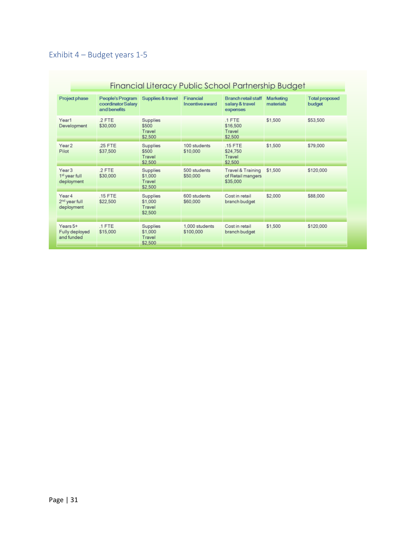## <span id="page-31-0"></span>Exhibit 4 – Budget years 1-5

| Financial Literacy Public School Partnership Budget          |                                                        |                                                 |                              |                                                           |                        |                                 |  |  |
|--------------------------------------------------------------|--------------------------------------------------------|-------------------------------------------------|------------------------------|-----------------------------------------------------------|------------------------|---------------------------------|--|--|
| Project phase                                                | People's Program<br>coordinator Salary<br>and benefits | Supplies & travel                               | Financial<br>Incentive award | <b>Branch retail staff</b><br>salary & travel<br>expenses | Marketing<br>materials | <b>Total proposed</b><br>budget |  |  |
| Year1<br>Development                                         | .2 FTE<br>\$30,000                                     | Supplies<br>\$500<br>Travel<br>\$2,500          |                              | $.1$ FTE<br>\$16,500<br>Travel<br>\$2,500                 | \$1,500                | \$53,500                        |  |  |
| Year <sub>2</sub><br>Pilot                                   | 25 FTE<br>\$37,500                                     | Supplies<br>\$500<br>Travel<br>\$2,500          | 100 students<br>\$10,000     | .15 FTE<br>\$24,750<br>Travel<br>\$2,500                  | \$1,500                | \$79,000                        |  |  |
| Year <sub>3</sub><br>1 <sup>st</sup> year full<br>deployment | .2 FTE<br>\$30,000                                     | Supplies<br>\$1,000<br>Travel<br>\$2,500        | 500 students<br>\$50,000     | Travel & Training<br>of Retail mangers<br>\$35,000        | \$1,500                | \$120,000                       |  |  |
| Year 4<br>2 <sup>nd</sup> year full<br>deployment            | $.15$ FTE<br>\$22,500                                  | Supplies<br>\$1,000<br>Travel<br>\$2,500        | 600 students<br>\$60,000     | Cost in retail<br>branch budget                           | \$2,000                | \$88,000                        |  |  |
| Years 5+<br>Fully deployed<br>and funded                     | $1$ FTE<br>\$15,000                                    | <b>Supplies</b><br>\$1,000<br>Travel<br>\$2,500 | 1,000 students<br>\$100,000  | Cost in retail<br>branch budget                           | \$1,500                | \$120,000                       |  |  |